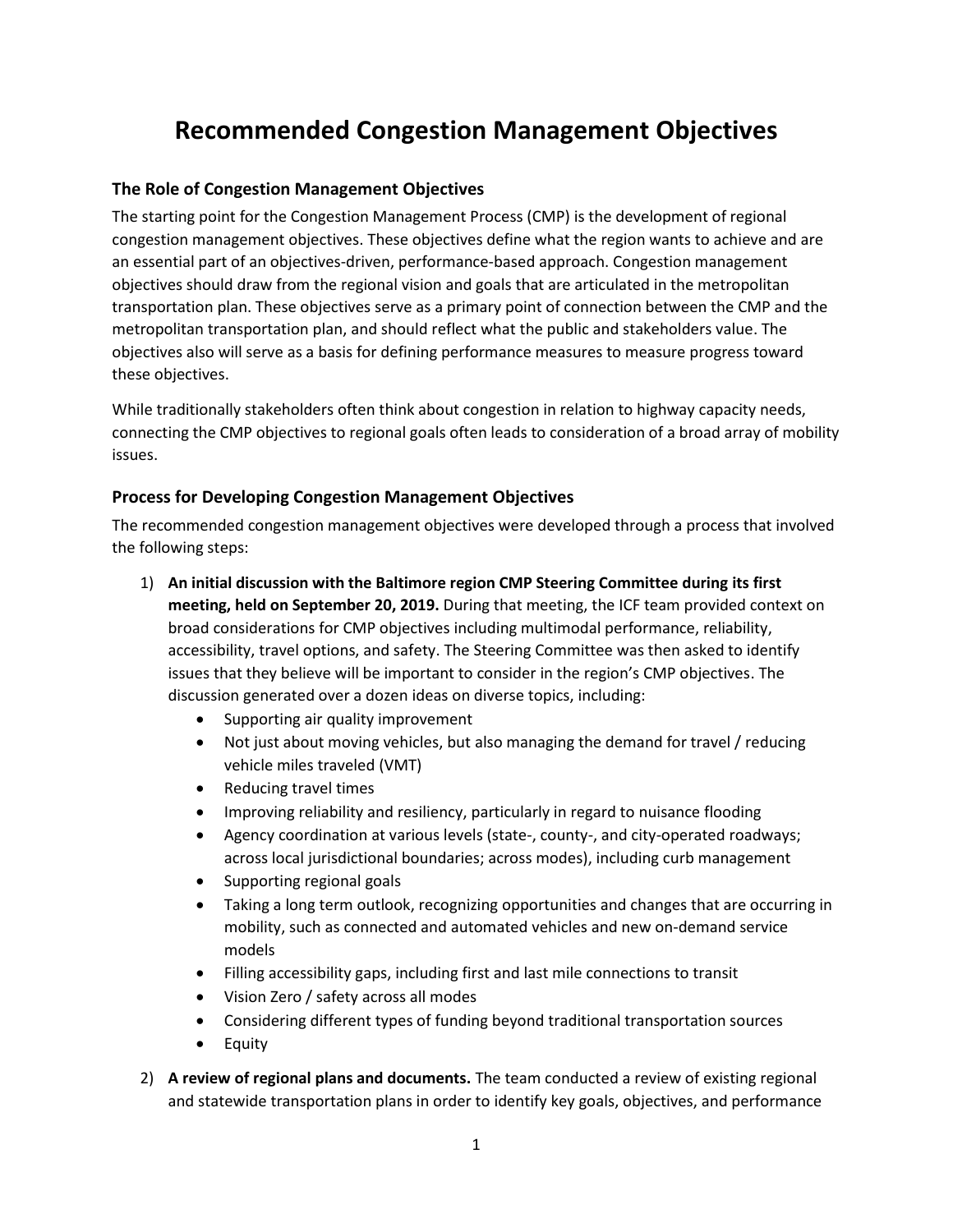# **Recommended Congestion Management Objectives**

### **The Role of Congestion Management Objectives**

The starting point for the Congestion Management Process (CMP) is the development of regional congestion management objectives. These objectives define what the region wants to achieve and are an essential part of an objectives-driven, performance-based approach. Congestion management objectives should draw from the regional vision and goals that are articulated in the metropolitan transportation plan. These objectives serve as a primary point of connection between the CMP and the metropolitan transportation plan, and should reflect what the public and stakeholders value. The objectives also will serve as a basis for defining performance measures to measure progress toward these objectives.

While traditionally stakeholders often think about congestion in relation to highway capacity needs, connecting the CMP objectives to regional goals often leads to consideration of a broad array of mobility issues.

### **Process for Developing Congestion Management Objectives**

The recommended congestion management objectives were developed through a process that involved the following steps:

- 1) **An initial discussion with the Baltimore region CMP Steering Committee during its first meeting, held on September 20, 2019.** During that meeting, the ICF team provided context on broad considerations for CMP objectives including multimodal performance, reliability, accessibility, travel options, and safety. The Steering Committee was then asked to identify issues that they believe will be important to consider in the region's CMP objectives. The discussion generated over a dozen ideas on diverse topics, including:
	- Supporting air quality improvement
	- Not just about moving vehicles, but also managing the demand for travel / reducing vehicle miles traveled (VMT)
	- Reducing travel times
	- Improving reliability and resiliency, particularly in regard to nuisance flooding
	- Agency coordination at various levels (state-, county-, and city-operated roadways; across local jurisdictional boundaries; across modes), including curb management
	- Supporting regional goals
	- Taking a long term outlook, recognizing opportunities and changes that are occurring in mobility, such as connected and automated vehicles and new on-demand service models
	- Filling accessibility gaps, including first and last mile connections to transit
	- Vision Zero / safety across all modes
	- Considering different types of funding beyond traditional transportation sources
	- Equity
- 2) **A review of regional plans and documents.** The team conducted a review of existing regional and statewide transportation plans in order to identify key goals, objectives, and performance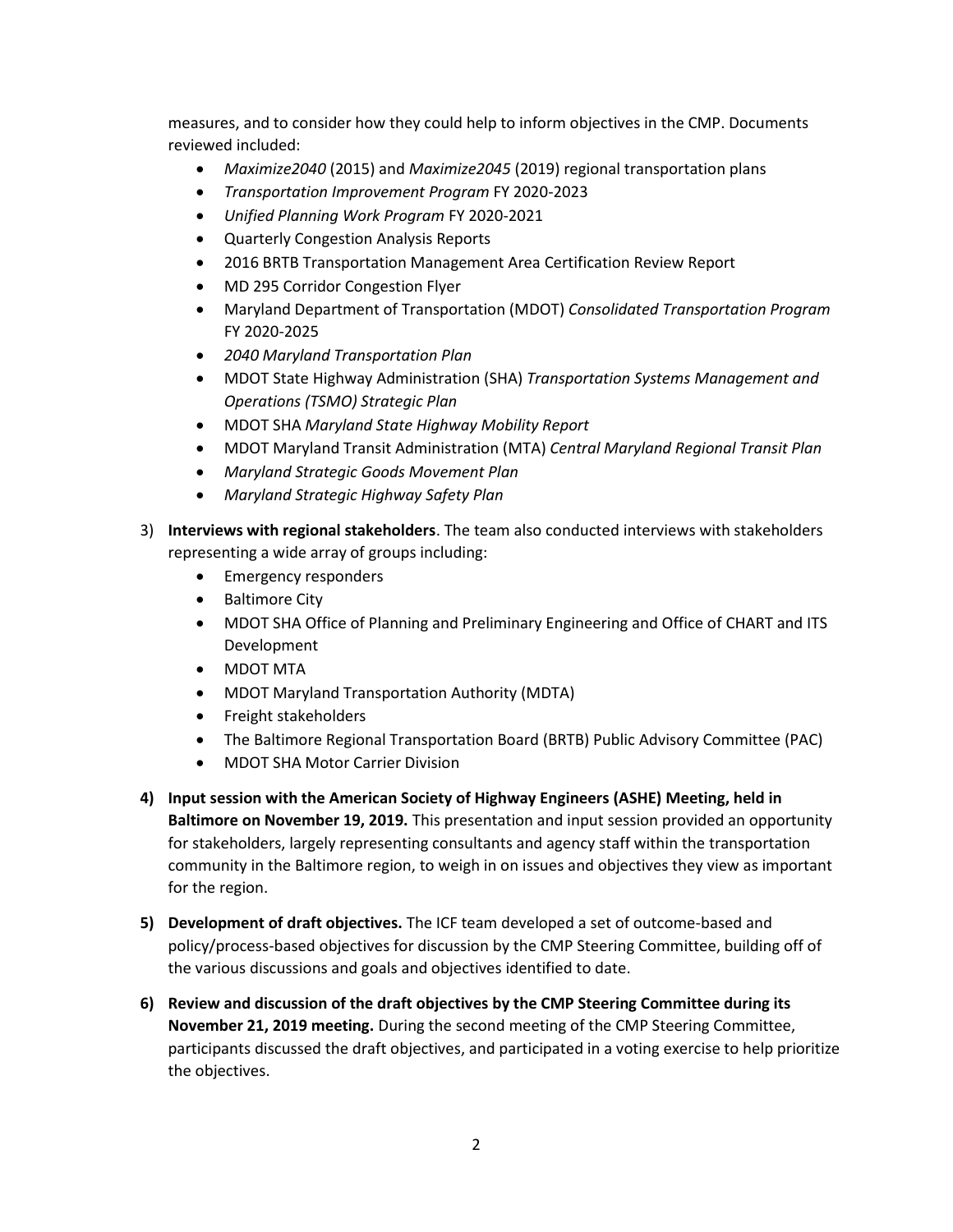measures, and to consider how they could help to inform objectives in the CMP. Documents reviewed included:

- *Maximize2040* (2015) and *Maximize2045* (2019) regional transportation plans
- *Transportation Improvement Program* FY 2020-2023
- *Unified Planning Work Program* FY 2020-2021
- Quarterly Congestion Analysis Reports
- 2016 BRTB Transportation Management Area Certification Review Report
- MD 295 Corridor Congestion Flyer
- Maryland Department of Transportation (MDOT) *Consolidated Transportation Program*  FY 2020-2025
- *2040 Maryland Transportation Plan*
- MDOT State Highway Administration (SHA) *Transportation Systems Management and Operations (TSMO) Strategic Plan*
- MDOT SHA *Maryland State Highway Mobility Report*
- MDOT Maryland Transit Administration (MTA) *Central Maryland Regional Transit Plan*
- *Maryland Strategic Goods Movement Plan*
- *Maryland Strategic Highway Safety Plan*
- 3) **Interviews with regional stakeholders**. The team also conducted interviews with stakeholders representing a wide array of groups including:
	- Emergency responders
	- Baltimore City
	- MDOT SHA Office of Planning and Preliminary Engineering and Office of CHART and ITS Development
	- MDOT MTA
	- MDOT Maryland Transportation Authority (MDTA)
	- Freight stakeholders
	- The Baltimore Regional Transportation Board (BRTB) Public Advisory Committee (PAC)
	- MDOT SHA Motor Carrier Division
- **4) Input session with the American Society of Highway Engineers (ASHE) Meeting, held in Baltimore on November 19, 2019.** This presentation and input session provided an opportunity for stakeholders, largely representing consultants and agency staff within the transportation community in the Baltimore region, to weigh in on issues and objectives they view as important for the region.
- **5) Development of draft objectives.** The ICF team developed a set of outcome-based and policy/process-based objectives for discussion by the CMP Steering Committee, building off of the various discussions and goals and objectives identified to date.
- **6) Review and discussion of the draft objectives by the CMP Steering Committee during its November 21, 2019 meeting.** During the second meeting of the CMP Steering Committee, participants discussed the draft objectives, and participated in a voting exercise to help prioritize the objectives.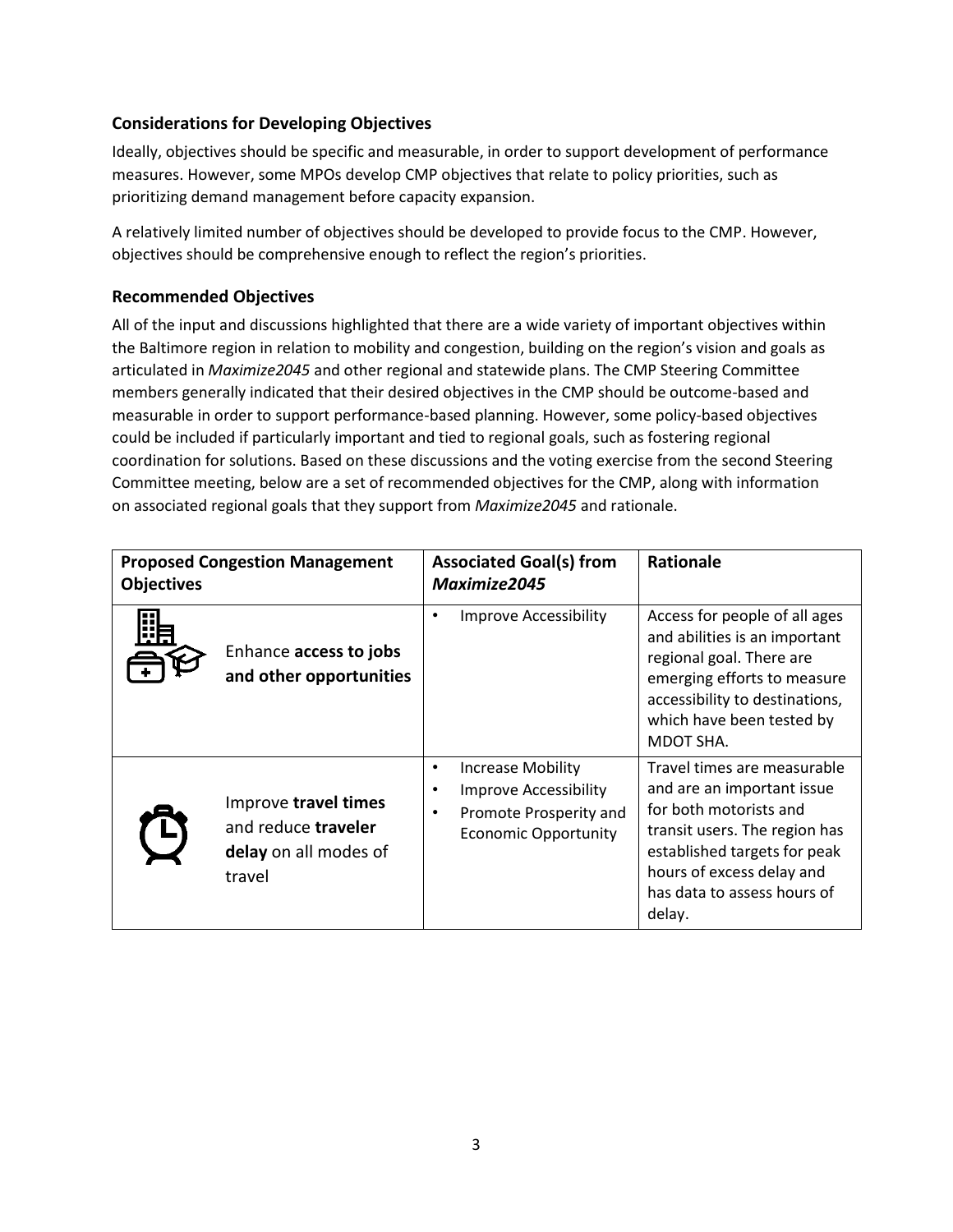# **Considerations for Developing Objectives**

Ideally, objectives should be specific and measurable, in order to support development of performance measures. However, some MPOs develop CMP objectives that relate to policy priorities, such as prioritizing demand management before capacity expansion.

A relatively limited number of objectives should be developed to provide focus to the CMP. However, objectives should be comprehensive enough to reflect the region's priorities.

# **Recommended Objectives**

All of the input and discussions highlighted that there are a wide variety of important objectives within the Baltimore region in relation to mobility and congestion, building on the region's vision and goals as articulated in *Maximize2045* and other regional and statewide plans. The CMP Steering Committee members generally indicated that their desired objectives in the CMP should be outcome-based and measurable in order to support performance-based planning. However, some policy-based objectives could be included if particularly important and tied to regional goals, such as fostering regional coordination for solutions. Based on these discussions and the voting exercise from the second Steering Committee meeting, below are a set of recommended objectives for the CMP, along with information on associated regional goals that they support from *Maximize2045* and rationale.

| <b>Proposed Congestion Management</b><br><b>Objectives</b> |                                                                                | <b>Associated Goal(s) from</b><br>Maximize2045 |                                                                                                                   | <b>Rationale</b>                                                                                                                                                                                                           |
|------------------------------------------------------------|--------------------------------------------------------------------------------|------------------------------------------------|-------------------------------------------------------------------------------------------------------------------|----------------------------------------------------------------------------------------------------------------------------------------------------------------------------------------------------------------------------|
|                                                            | Enhance access to jobs<br>and other opportunities                              | ٠                                              | <b>Improve Accessibility</b>                                                                                      | Access for people of all ages<br>and abilities is an important<br>regional goal. There are<br>emerging efforts to measure<br>accessibility to destinations,<br>which have been tested by<br>MDOT SHA.                      |
|                                                            | Improve travel times<br>and reduce traveler<br>delay on all modes of<br>travel | $\bullet$<br>$\bullet$<br>$\bullet$            | <b>Increase Mobility</b><br><b>Improve Accessibility</b><br>Promote Prosperity and<br><b>Economic Opportunity</b> | Travel times are measurable<br>and are an important issue<br>for both motorists and<br>transit users. The region has<br>established targets for peak<br>hours of excess delay and<br>has data to assess hours of<br>delay. |